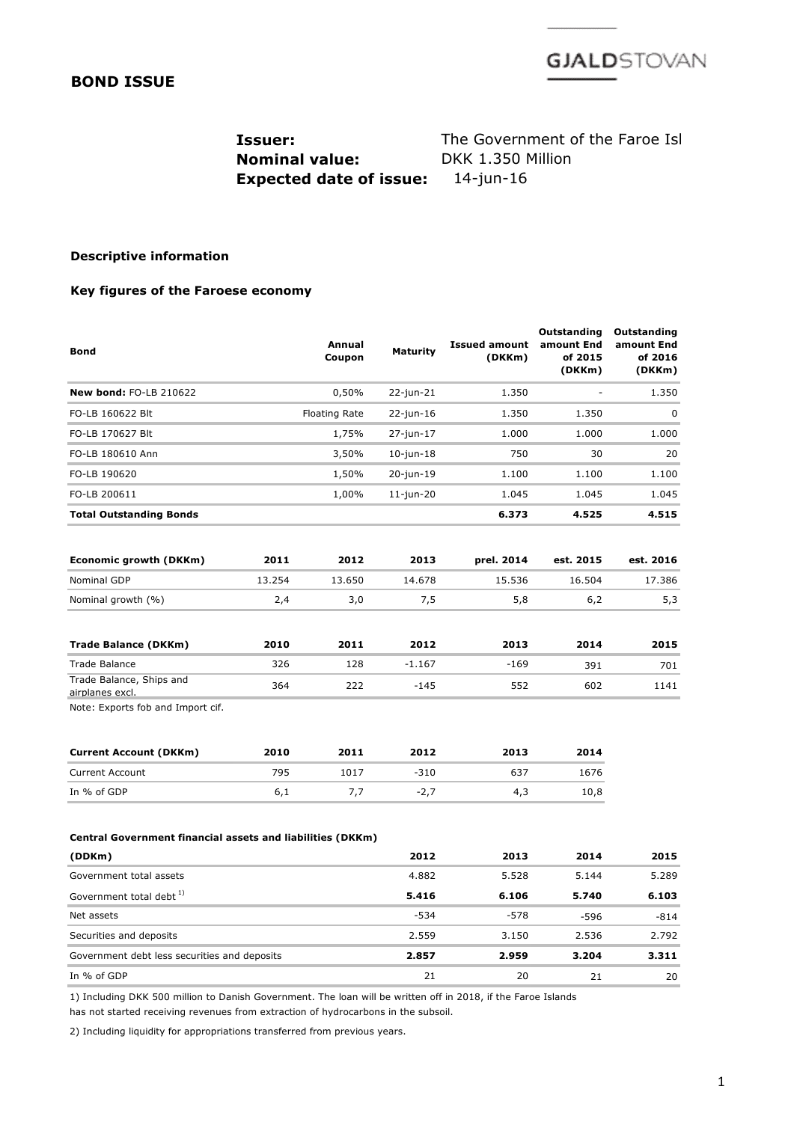

## **BOND ISSUE**

**Nominal value:** DKK 1.350 Million **Expected date of issue:** 14-jun-16

**Issuer:** The Government of the Faroe Isl

## **Descriptive information**

## **Key figures of the Faroese economy**

| <b>Bond</b>                                                |        | Annual<br>Coupon     | <b>Maturity</b> | <b>Issued amount</b><br>(DKKm) | Outstanding<br>amount End<br>of 2015<br>(DKKm) | Outstanding<br>amount End<br>of 2016<br>(DKKm) |
|------------------------------------------------------------|--------|----------------------|-----------------|--------------------------------|------------------------------------------------|------------------------------------------------|
| New bond: FO-LB 210622                                     |        | 0,50%                | 22-jun-21       | 1.350                          |                                                | 1.350                                          |
| FO-LB 160622 Blt                                           |        | <b>Floating Rate</b> | 22-jun-16       | 1.350                          | 1.350                                          | 0                                              |
| FO-LB 170627 Blt                                           |        | 1,75%                | 27-jun-17       | 1.000                          | 1.000                                          | 1.000                                          |
| FO-LB 180610 Ann                                           |        | 3,50%                | $10$ -jun-18    | 750                            | 30                                             | 20                                             |
| FO-LB 190620                                               |        | 1,50%                | 20-jun-19       | 1.100                          | 1.100                                          | 1.100                                          |
| FO-LB 200611                                               |        | 1,00%                | $11$ -jun-20    | 1.045                          | 1.045                                          | 1.045                                          |
| <b>Total Outstanding Bonds</b>                             |        |                      |                 | 6.373                          | 4.525                                          | 4.515                                          |
| Economic growth (DKKm)                                     | 2011   | 2012                 | 2013            | prel. 2014                     | est. 2015                                      | est. 2016                                      |
| <b>Nominal GDP</b>                                         | 13.254 | 13.650               | 14.678          | 15.536                         | 16.504                                         | 17.386                                         |
| Nominal growth (%)                                         | 2,4    | 3,0                  | 7,5             | 5,8                            | 6,2                                            | 5,3                                            |
| <b>Trade Balance (DKKm)</b>                                | 2010   | 2011                 | 2012            | 2013                           | 2014                                           | 2015                                           |
| <b>Trade Balance</b>                                       | 326    | 128                  | $-1.167$        | $-169$                         | 391                                            | 701                                            |
| Trade Balance, Ships and<br>airplanes excl.                | 364    | 222                  | $-145$          | 552                            | 602                                            | 1141                                           |
| Note: Exports fob and Import cif.                          |        |                      |                 |                                |                                                |                                                |
| <b>Current Account (DKKm)</b>                              | 2010   | 2011                 | 2012            | 2013                           | 2014                                           |                                                |
| <b>Current Account</b>                                     | 795    | 1017                 | $-310$          | 637                            | 1676                                           |                                                |
| In % of GDP                                                | 6,1    | 7,7                  | $-2,7$          | 4,3                            | 10,8                                           |                                                |
| Central Government financial assets and liabilities (DKKm) |        |                      |                 |                                |                                                |                                                |
| (DDKm)                                                     |        |                      | 2012            | 2013                           | 2014                                           | 2015                                           |
| Government total assets                                    |        |                      | 4.882           | 5.528                          | 5.144                                          | 5.289                                          |
| Government total debt <sup>1)</sup>                        |        |                      | 5.416           | 6.106                          | 5.740                                          | 6.103                                          |
| Net assets                                                 |        |                      | $-534$          | $-578$                         | -596                                           | $-814$                                         |
| Securities and deposits                                    |        |                      | 2.559           | 3.150                          | 2.536                                          | 2.792                                          |
| Government debt less securities and deposits               |        |                      | 2.857           | 2.959                          | 3.204                                          | 3.311                                          |
| In % of GDP                                                |        |                      | 21              | 20                             | 21                                             | 20                                             |
|                                                            |        |                      |                 |                                |                                                |                                                |

1) Including DKK 500 million to Danish Government. The loan will be written off in 2018, if the Faroe Islands

has not started receiving revenues from extraction of hydrocarbons in the subsoil.

2) Including liquidity for appropriations transferred from previous years.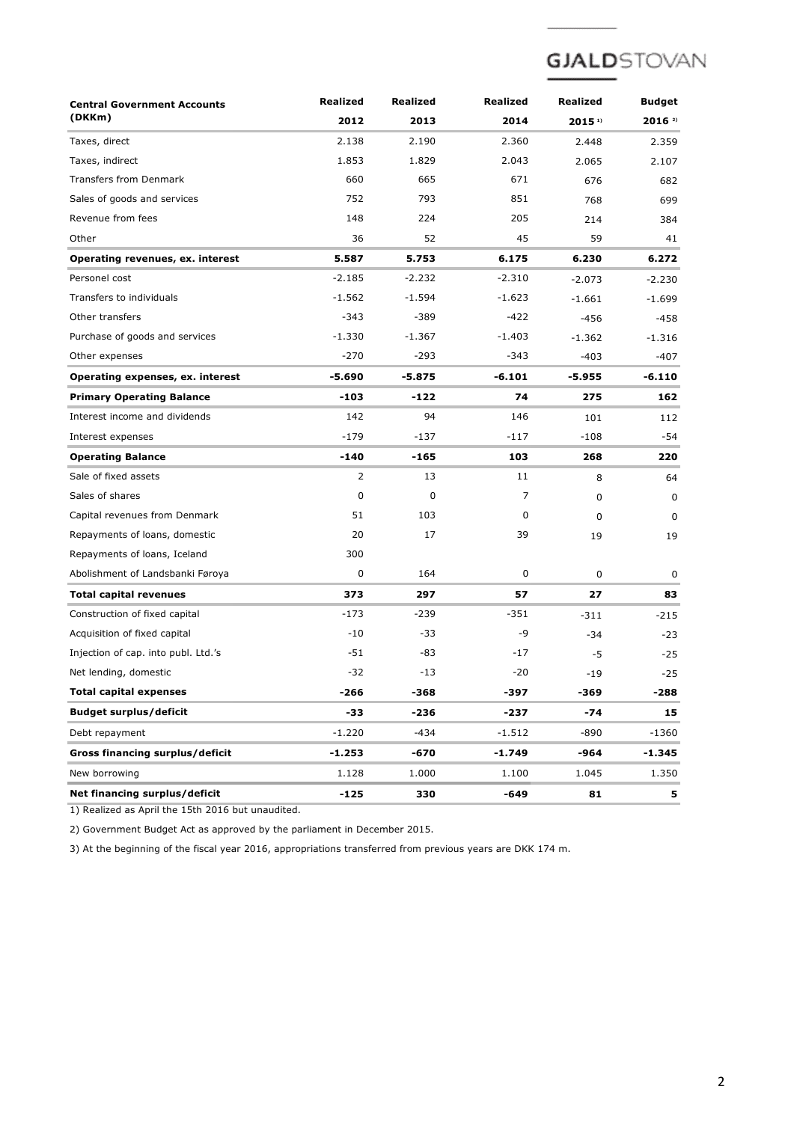# **GJALD**STOVAN

| <b>Central Government Accounts</b>     | <b>Realized</b> | Realized | <b>Realized</b> | Realized             | <b>Budget</b>        |
|----------------------------------------|-----------------|----------|-----------------|----------------------|----------------------|
| (DKKm)                                 | 2012            | 2013     | 2014            | $2015$ <sup>1)</sup> | $2016$ <sup>2)</sup> |
| Taxes, direct                          | 2.138           | 2.190    | 2.360           | 2.448                | 2.359                |
| Taxes, indirect                        | 1.853           | 1.829    | 2.043           | 2.065                | 2.107                |
| <b>Transfers from Denmark</b>          | 660             | 665      | 671             | 676                  | 682                  |
| Sales of goods and services            | 752             | 793      | 851             | 768                  | 699                  |
| Revenue from fees                      | 148             | 224      | 205             | 214                  | 384                  |
| Other                                  | 36              | 52       | 45              | 59                   | 41                   |
| Operating revenues, ex. interest       | 5.587           | 5.753    | 6.175           | 6.230                | 6.272                |
| Personel cost                          | $-2.185$        | $-2.232$ | $-2.310$        | $-2.073$             | $-2.230$             |
| Transfers to individuals               | $-1.562$        | $-1.594$ | $-1.623$        | $-1.661$             | $-1.699$             |
| Other transfers                        | $-343$          | -389     | -422            | $-456$               | $-458$               |
| Purchase of goods and services         | $-1.330$        | $-1.367$ | $-1.403$        | $-1.362$             | $-1.316$             |
| Other expenses                         | $-270$          | $-293$   | $-343$          | $-403$               | -407                 |
| Operating expenses, ex. interest       | -5.690          | $-5.875$ | $-6.101$        | -5.955               | $-6.110$             |
| <b>Primary Operating Balance</b>       | -103            | -122     | 74              | 275                  | 162                  |
| Interest income and dividends          | 142             | 94       | 146             | 101                  | 112                  |
| Interest expenses                      | $-179$          | $-137$   | -117            | $-108$               | -54                  |
| <b>Operating Balance</b>               | -140            | -165     | 103             | 268                  | 220                  |
| Sale of fixed assets                   | 2               | 13       | 11              | 8                    | 64                   |
| Sales of shares                        | $\mathbf 0$     | 0        | 7               | $\mathbf 0$          | $\mathbf 0$          |
| Capital revenues from Denmark          | 51              | 103      | 0               | $\mathbf 0$          | $\mathbf 0$          |
| Repayments of loans, domestic          | 20              | 17       | 39              | 19                   | 19                   |
| Repayments of loans, Iceland           | 300             |          |                 |                      |                      |
| Abolishment of Landsbanki Føroya       | 0               | 164      | 0               | $\mathbf 0$          | 0                    |
| <b>Total capital revenues</b>          | 373             | 297      | 57              | 27                   | 83                   |
| Construction of fixed capital          | $-173$          | $-239$   | -351            | $-311$               | $-215$               |
| Acquisition of fixed capital           | $-10$           | $-33$    | -9              | $-34$                | $-23$                |
| Injection of cap. into publ. Ltd.'s    | $-51$           | -83      | $-17$           | -5                   | $-25$                |
| Net lending, domestic                  | $-32$           | $-13$    | $-20$           | -19                  | $-25$                |
| <b>Total capital expenses</b>          | $-266$          | $-368$   | $-397$          | $-369$               | $-288$               |
| <b>Budget surplus/deficit</b>          | -33             | -236     | $-237$          | -74                  | 15                   |
| Debt repayment                         | $-1.220$        | $-434$   | $-1.512$        | $-890$               | $-1360$              |
| <b>Gross financing surplus/deficit</b> | -1.253          | -670     | -1.749          | -964                 | -1.345               |
| New borrowing                          | 1.128           | 1.000    | 1.100           | 1.045                | 1.350                |
| Net financing surplus/deficit          | $-125$          | 330      | -649            | 81                   | 5                    |

1) Realized as April the 15th 2016 but unaudited.

2) Government Budget Act as approved by the parliament in December 2015.

3) At the beginning of the fiscal year 2016, appropriations transferred from previous years are DKK 174 m.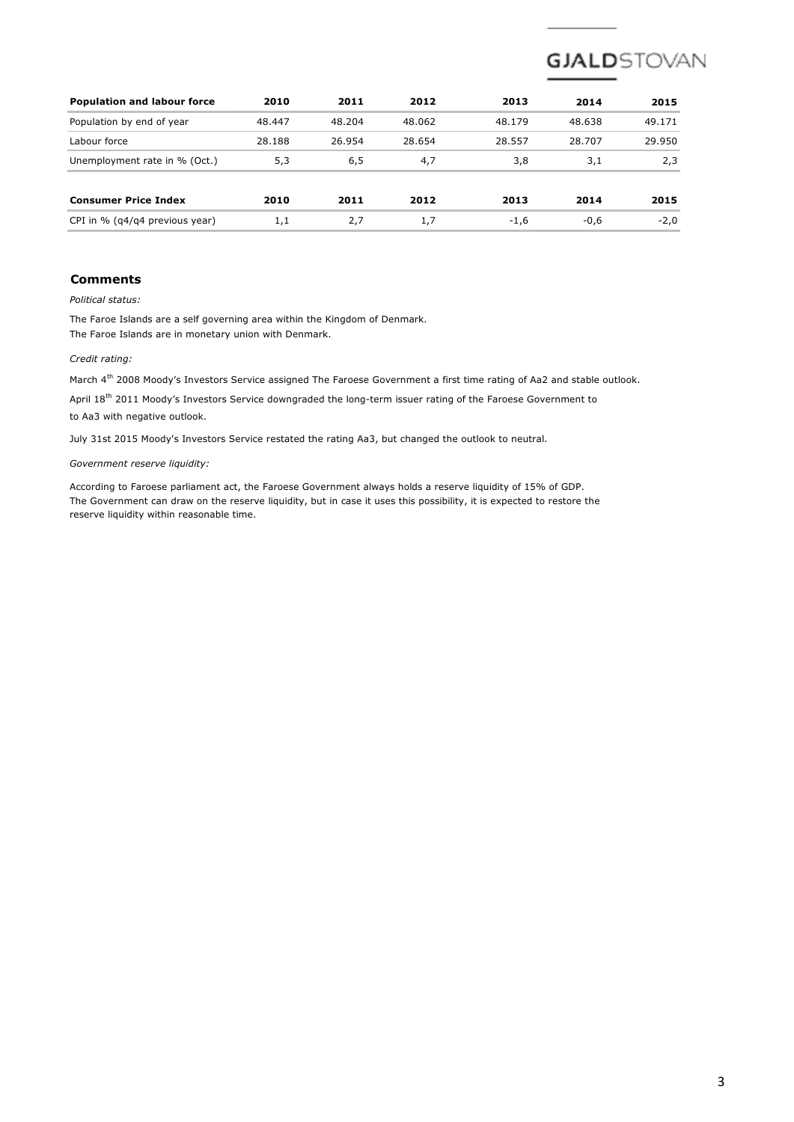

| <b>Population and labour force</b> | 2010   | 2011   | 2012   | 2013   | 2014   | 2015   |
|------------------------------------|--------|--------|--------|--------|--------|--------|
| Population by end of year          | 48.447 | 48.204 | 48.062 | 48.179 | 48.638 | 49.171 |
| Labour force                       | 28.188 | 26.954 | 28.654 | 28.557 | 28.707 | 29.950 |
| Unemployment rate in % (Oct.)      | 5,3    | 6,5    | 4,7    | 3,8    | 3,1    | 2,3    |
| <b>Consumer Price Index</b>        | 2010   | 2011   | 2012   | 2013   | 2014   | 2015   |
| CPI in % (q4/q4 previous year)     | 1,1    | 2,7    | 1.7    | $-1,6$ | $-0,6$ | $-2,0$ |

## **Comments**

*Political status:*

The Faroe Islands are a self governing area within the Kingdom of Denmark. The Faroe Islands are in monetary union with Denmark.

#### *Credit rating:*

March 4<sup>th</sup> 2008 Moody's Investors Service assigned The Faroese Government a first time rating of Aa2 and stable outlook.

April  $18^{\text{th}}$  2011 Moody's Investors Service downgraded the long-term issuer rating of the Faroese Government to to Aa3 with negative outlook.

July 31st 2015 Moody's Investors Service restated the rating Aa3, but changed the outlook to neutral.

### *Government reserve liquidity:*

According to Faroese parliament act, the Faroese Government always holds a reserve liquidity of 15% of GDP. The Government can draw on the reserve liquidity, but in case it uses this possibility, it is expected to restore the reserve liquidity within reasonable time.